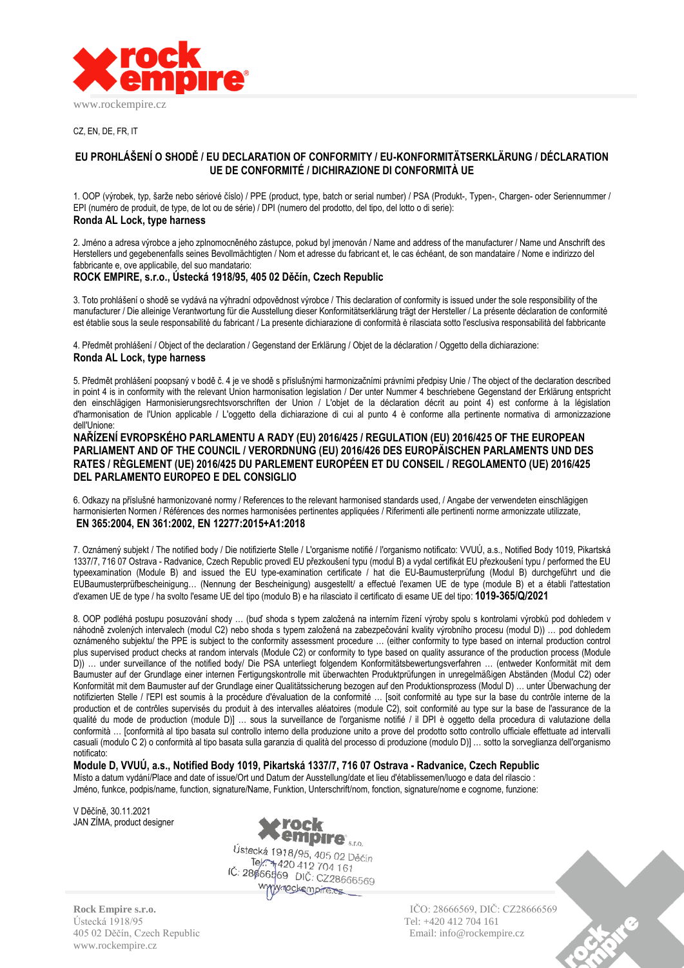

CZ, EN, DE, FR, IT

# **EU PROHLÁŠENÍ O SHODĚ / EU DECLARATION OF CONFORMITY / EU-KONFORMITÄTSERKLÄRUNG / DÉCLARATION UE DE CONFORMITÉ / DICHIRAZIONE DI CONFORMITÀ UE**

1. OOP (výrobek, typ, šarže nebo sériové číslo) / PPE (product, type, batch or serial number) / PSA (Produkt-, Typen-, Chargen- oder Seriennummer / EPI (numéro de produit, de type, de lot ou de série) / DPI (numero del prodotto, del tipo, del lotto o di serie): **Ronda AL Lock, type harness**

2. Jméno a adresa výrobce a jeho zplnomocněného zástupce, pokud byl jmenován / Name and address of the manufacturer / Name und Anschrift des Herstellers und gegebenenfalls seines Bevollmächtigten / Nom et adresse du fabricant et, le cas échéant, de son mandataire / Nome e indirizzo del fabbricante e, ove applicabile, del suo mandatario:

## **ROCK EMPIRE, s.r.o., Ústecká 1918/95, 405 02 Děčín, Czech Republic**

3. Toto prohlášení o shodě se vydává na výhradní odpovědnost výrobce / This declaration of conformity is issued under the sole responsibility of the manufacturer / Die alleinige Verantwortung für die Ausstellung dieser Konformitätserklärung trägt der Hersteller / La présente déclaration de conformité est établie sous la seule responsabilité du fabricant / La presente dichiarazione di conformità è rilasciata sotto l'esclusiva responsabilità del fabbricante

4. Předmět prohlášení / Object of the declaration / Gegenstand der Erklärung / Objet de la déclaration / Oggetto della dichiarazione: **Ronda AL Lock, type harness**

5. Předmět prohlášení poopsaný v bodě č. 4 je ve shodě s příslušnými harmonizačními právními předpisy Unie / The object of the declaration described in point 4 is in conformity with the relevant Union harmonisation legislation / Der unter Nummer 4 beschriebene Gegenstand der Erklärung entspricht den einschlägigen Harmonisierungsrechtsvorschriften der Union / L'objet de la déclaration décrit au point 4) est conforme à la législation d'harmonisation de l'Union applicable / L'oggetto della dichiarazione di cui al punto 4 è conforme alla pertinente normativa di armonizzazione dell'Unione:

**NAŘÍZENÍ EVROPSKÉHO PARLAMENTU A RADY (EU) 2016/425 / REGULATION (EU) 2016/425 OF THE EUROPEAN PARLIAMENT AND OF THE COUNCIL / VERORDNUNG (EU) 2016/426 DES EUROPÄISCHEN PARLAMENTS UND DES RATES / RÈGLEMENT (UE) 2016/425 DU PARLEMENT EUROPÉEN ET DU CONSEIL / REGOLAMENTO (UE) 2016/425 DEL PARLAMENTO EUROPEO E DEL CONSIGLIO**

6. Odkazy na příslušné harmonizované normy / References to the relevant harmonised standards used, / Angabe der verwendeten einschlägigen harmonisierten Normen / Références des normes harmonisées pertinentes appliquées / Riferimenti alle pertinenti norme armonizzate utilizzate, **EN 365:2004, EN 361:2002, EN 12277:2015+A1:2018**

7. Oznámený subjekt / The notified body / Die notifizierte Stelle / L'organisme notifié / l'organismo notificato: VVUÚ, a.s., Notified Body 1019, Pikartská 1337/7, 716 07 Ostrava - Radvanice, Czech Republic provedl EU přezkoušení typu (modul B) a vydal certifikát EU přezkoušení typu / performed the EU typeexamination (Module B) and issued the EU type-examination certificate / hat die EU-Baumusterprüfung (Modul B) durchgeführt und die EUBaumusterprüfbescheinigung… (Nennung der Bescheinigung) ausgestellt/ a effectué l'examen UE de type (module B) et a établi l'attestation d'examen UE de type / ha svolto l'esame UE del tipo (modulo B) e ha rilasciato il certificato di esame UE del tipo: **1019-365/Q/2021**

8. OOP podléhá postupu posuzování shody … (buď shoda s typem založená na interním řízení výroby spolu s kontrolami výrobků pod dohledem v náhodně zvolených intervalech (modul C2) nebo shoda s typem založená na zabezpečování kvality výrobního procesu (modul D)) … pod dohledem oznámeného subjektu/ the PPE is subject to the conformity assessment procedure … (either conformity to type based on internal production control plus supervised product checks at random intervals (Module C2) or conformity to type based on quality assurance of the production process (Module D)) ... under surveillance of the notified body/ Die PSA unterliegt folgendem Konformitätsbewertungsverfahren ... (entweder Konformität mit dem Baumuster auf der Grundlage einer internen Fertigungskontrolle mit überwachten Produktprüfungen in unregelmäßigen Abständen (Modul C2) oder Konformität mit dem Baumuster auf der Grundlage einer Qualitätssicherung bezogen auf den Produktionsprozess (Modul D) … unter Überwachung der notifizierten Stelle / l'EPI est soumis à la procédure d'évaluation de la conformité … [soit conformité au type sur la base du contrôle interne de la production et de contrôles supervisés du produit à des intervalles aléatoires (module C2), soit conformité au type sur la base de l'assurance de la qualité du mode de production (module D)] … sous la surveillance de l'organisme notifié / il DPI è oggetto della procedura di valutazione della conformità … [conformità al tipo basata sul controllo interno della produzione unito a prove del prodotto sotto controllo ufficiale effettuate ad intervalli casuali (modulo C 2) o conformità al tipo basata sulla garanzia di qualità del processo di produzione (modulo D)] … sotto la sorveglianza dell'organismo notificato:

**Module D, VVUÚ, a.s., Notified Body 1019, Pikartská 1337/7, 716 07 Ostrava - Radvanice, Czech Republic** Místo a datum vydání/Place and date of issue/Ort und Datum der Ausstellung/date et lieu d'établissemen/luogo e data del rilascio : Jméno, funkce, podpis/name, function, signature/Name, Funktion, Unterschrift/nom, fonction, signature/nome e cognome, funzione:

V Děčíně, 30.11.2021 JAN ZÍMA, product designer



Ústecká 1918/95 Tel: +420 412 704 161 405 02 Děčín, Czech Republic Email: info@rockempire.cz www.rockempire.cz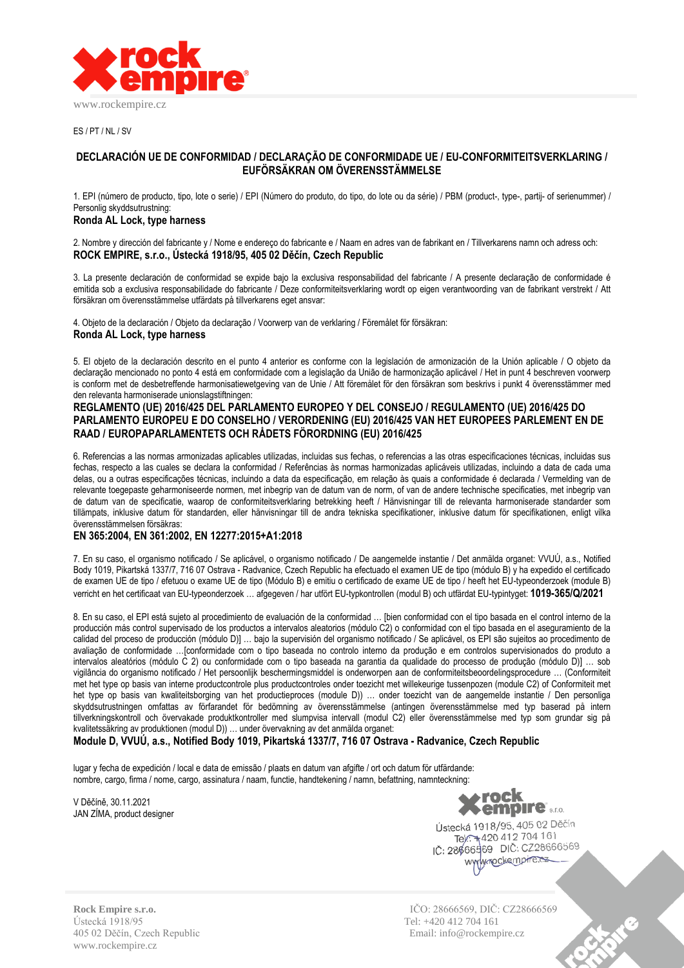

ES / PT / NL / SV

## **DECLARACIÓN UE DE CONFORMIDAD / DECLARAÇÃO DE CONFORMIDADE UE / EU-CONFORMITEITSVERKLARING / EUFÖRSÄKRAN OM ÖVERENSSTÄMMELSE**

1. EPI (número de producto, tipo, lote o serie) / EPI (Número do produto, do tipo, do lote ou da série) / PBM (product-, type-, partij- of serienummer) / Personlig skyddsutrustning:

### **Ronda AL Lock, type harness**

2. Nombre y dirección del fabricante y / Nome e endereço do fabricante e / Naam en adres van de fabrikant en / Tillverkarens namn och adress och: **ROCK EMPIRE, s.r.o., Ústecká 1918/95, 405 02 Děčín, Czech Republic**

3. La presente declaración de conformidad se expide bajo la exclusiva responsabilidad del fabricante / A presente declaração de conformidade é emitida sob a exclusiva responsabilidade do fabricante / Deze conformiteitsverklaring wordt op eigen verantwoording van de fabrikant verstrekt / Att försäkran om överensstämmelse utfärdats på tillverkarens eget ansvar:

4. Objeto de la declaración / Objeto da declaração / Voorwerp van de verklaring / Föremålet för försäkran:

### **Ronda AL Lock, type harness**

5. El objeto de la declaración descrito en el punto 4 anterior es conforme con la legislación de armonización de la Unión aplicable / O objeto da declaração mencionado no ponto 4 está em conformidade com a legislação da União de harmonização aplicável / Het in punt 4 beschreven voorwerp is conform met de desbetreffende harmonisatiewetgeving van de Unie / Att föremålet för den försäkran som beskrivs i punkt 4 överensstämmer med den relevanta harmoniserade unionslagstiftningen:

## **REGLAMENTO (UE) 2016/425 DEL PARLAMENTO EUROPEO Y DEL CONSEJO / REGULAMENTO (UE) 2016/425 DO PARLAMENTO EUROPEU E DO CONSELHO / VERORDENING (EU) 2016/425 VAN HET EUROPEES PARLEMENT EN DE RAAD / EUROPAPARLAMENTETS OCH RÅDETS FÖRORDNING (EU) 2016/425**

6. Referencias a las normas armonizadas aplicables utilizadas, incluidas sus fechas, o referencias a las otras especificaciones técnicas, incluidas sus fechas, respecto a las cuales se declara la conformidad / Referências às normas harmonizadas aplicáveis utilizadas, incluindo a data de cada uma delas, ou a outras especificações técnicas, incluindo a data da especificação, em relação às quais a conformidade é declarada / Vermelding van de relevante toegepaste geharmoniseerde normen, met inbegrip van de datum van de norm, of van de andere technische specificaties, met inbegrip van de datum van de specificatie, waarop de conformiteitsverklaring betrekking heeft / Hänvisningar till de relevanta harmoniserade standarder som tillämpats, inklusive datum för standarden, eller hänvisningar till de andra tekniska specifikationer, inklusive datum för specifikationen, enligt vilka överensstämmelsen försäkras:

### **EN 365:2004, EN 361:2002, EN 12277:2015+A1:2018**

7. En su caso, el organismo notificado / Se aplicável, o organismo notificado / De aangemelde instantie / Det anmälda organet: VVUÚ, a.s., Notified Body 1019, Pikartská 1337/7, 716 07 Ostrava - Radvanice, Czech Republic ha efectuado el examen UE de tipo (módulo B) y ha expedido el certificado de examen UE de tipo / efetuou o exame UE de tipo (Módulo B) e emitiu o certificado de exame UE de tipo / heeft het EU-typeonderzoek (module B) verricht en het certificaat van EU-typeonderzoek … afgegeven / har utfört EU-typkontrollen (modul B) och utfärdat EU-typintyget: **1019-365/Q/2021**

8. En su caso, el EPI está sujeto al procedimiento de evaluación de la conformidad … [bien conformidad con el tipo basada en el control interno de la producción más control supervisado de los productos a intervalos aleatorios (módulo C2) o conformidad con el tipo basada en el aseguramiento de la calidad del proceso de producción (módulo D)] … bajo la supervisión del organismo notificado / Se aplicável, os EPI são sujeitos ao procedimento de avaliação de conformidade …[conformidade com o tipo baseada no controlo interno da produção e em controlos supervisionados do produto a intervalos aleatórios (módulo C 2) ou conformidade com o tipo baseada na garantia da qualidade do processo de produção (módulo D)] … sob vigilância do organismo notificado / Het persoonlijk beschermingsmiddel is onderworpen aan de conformiteitsbeoordelingsprocedure … (Conformiteit met het type op basis van interne productcontrole plus productcontroles onder toezicht met willekeurige tussenpozen (module C2) of Conformiteit met het type op basis van kwaliteitsborging van het productieproces (module D)) … onder toezicht van de aangemelde instantie / Den personliga skyddsutrustningen omfattas av förfarandet för bedömning av överensstämmelse (antingen överensstämmelse med typ baserad på intern tillverkningskontroll och övervakade produktkontroller med slumpvisa intervall (modul C2) eller överensstämmelse med typ som grundar sig på kvalitetssäkring av produktionen (modul D)) … under övervakning av det anmälda organet:

# **Module D, VVUÚ, a.s., Notified Body 1019, Pikartská 1337/7, 716 07 Ostrava - Radvanice, Czech Republic**

lugar y fecha de expedición / local e data de emissão / plaats en datum van afgifte / ort och datum för utfärdande: nombre, cargo, firma / nome, cargo, assinatura / naam, functie, handtekening / namn, befattning, namnteckning:

V Děčíně, 30.11.2021 JAN ZÍMA, product designer

rock⊾ **Fempire** s.r.o.

Ústecká 1918/95, 405 02 Děčín Tel: 1919/09, 2004 161 IČ: 28666569 DIČ: CZ28666569 www.rockempire.ex

Ústecká 1918/95 Tel: +420 412 704 161 405 02 Děčín, Czech Republic Email: info@rockempire.cz www.rockempire.cz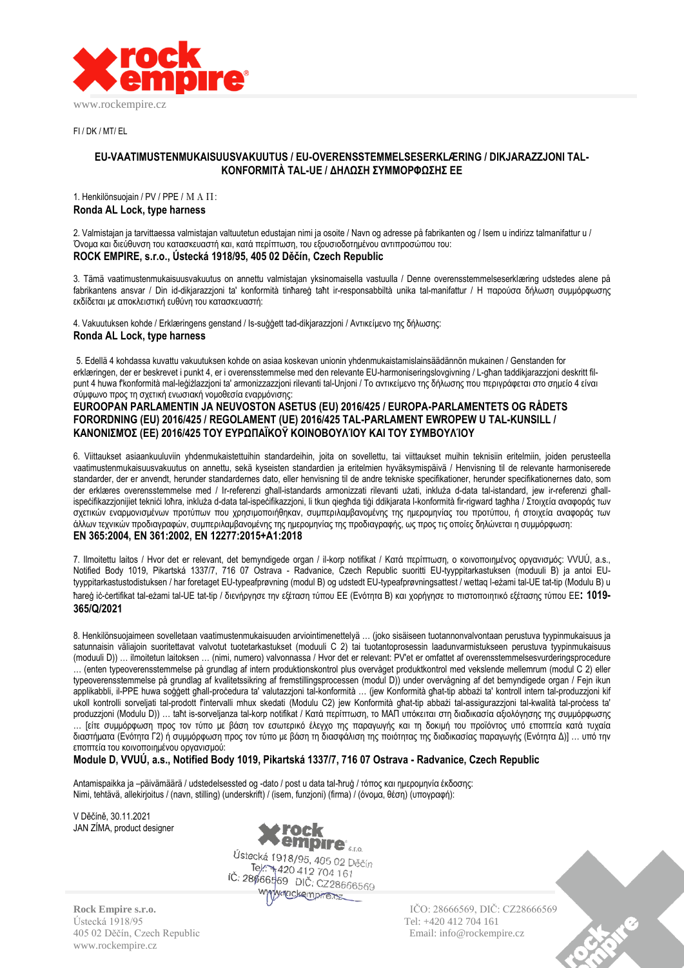

FI / DK / MT/ EL

# **EU-VAATIMUSTENMUKAISUUSVAKUUTUS / EU-OVERENSSTEMMELSESERKLÆRING / DIKJARAZZJONI TAL-KONFORMITÀ TAL-UE / ΔΗΛΩΣΗ ΣΥΜΜΟΡΦΩΣΗΣ ΕΕ**

### 1. Henkilönsuojain / PV / PPE / ΜΑΠ: **Ronda AL Lock, type harness**

2. Valmistajan ja tarvittaessa valmistajan valtuutetun edustajan nimi ja osoite / Navn og adresse på fabrikanten og / Isem u indirizz talmanifattur u / Όνομα και διεύθυνση του κατασκευαστή και, κατά περίπτωση, του εξουσιοδοτημένου αντιπροσώπου του: **ROCK EMPIRE, s.r.o., Ústecká 1918/95, 405 02 Děčín, Czech Republic**

3. Tämä vaatimustenmukaisuusvakuutus on annettu valmistajan yksinomaisella vastuulla / Denne overensstemmelseserklæring udstedes alene på fabrikantens ansvar / Din id-dikjarazzjoni ta' konformità tinħareġ taħt ir-responsabbiltà unika tal-manifattur / Η παρούσα δήλωση συμμόρφωσης εκδίδεται με αποκλειστική ευθύνη του κατασκευαστή:

4. Vakuutuksen kohde / Erklæringens genstand / Is-suġġett tad-dikjarazzjoni / Αντικείμενο της δήλωσης:

# **Ronda AL Lock, type harness**

5. Edellä 4 kohdassa kuvattu vakuutuksen kohde on asiaa koskevan unionin yhdenmukaistamislainsäädännön mukainen / Genstanden for erklæringen, der er beskrevet i punkt 4, er i overensstemmelse med den relevante EU-harmoniseringslovgivning / L-għan taddikjarazzjoni deskritt filpunt 4 huwa f'konformità mal-leġiżlazzjoni ta' armonizzazzjoni rilevanti tal-Unjoni / Το αντικείμενο της δήλωσης που περιγράφεται στο σημείο 4 είναι σύμφωνο προς τη σχετική ενωσιακή νομοθεσία εναρμόνισης:

## **EUROOPAN PARLAMENTIN JA NEUVOSTON ASETUS (EU) 2016/425 / EUROPA-PARLAMENTETS OG RÅDETS FORORDNING (EU) 2016/425 / REGOLAMENT (UE) 2016/425 TAL-PARLAMENT EWROPEW U TAL-KUNSILL / ΚΑΝΟΝΙΣΜΌΣ (ΕΕ) 2016/425 ΤΟΥ ΕΥΡΩΠΑΪΚΟΫ ΚΟΙΝΟΒΟΥΛΊΟΥ ΚΑΙ ΤΟΥ ΣΥΜΒΟΥΛΊΟΥ**

6. Viittaukset asiaankuuluviin yhdenmukaistettuihin standardeihin, joita on sovellettu, tai viittaukset muihin teknisiin eritelmiin, joiden perusteella vaatimustenmukaisuusvakuutus on annettu, sekä kyseisten standardien ja eritelmien hyväksymispäivä / Henvisning til de relevante harmoniserede standarder, der er anvendt, herunder standardernes dato, eller henvisning til de andre tekniske specifikationer, herunder specifikationernes dato, som der erklæres overensstemmelse med / Ir-referenzi għall-istandards armonizzati rilevanti użati, inkluża d-data tal-istandard, jew ir-referenzi għallispeċifikazzjonijiet tekniċi loħra, inkluża d-data tal-ispeċifikazzjoni, li tkun qiegħda tiġi ddikjarata l-konformità fir-rigward tagħha / Στοιχεία αναφοράς των σχετικών εναρμονισμένων προτύπων που χρησιμοποιήθηκαν, συμπεριλαμβανομένης της ημερομηνίας του προτύπου, ή στοιχεία αναφοράς των άλλων τεχνικών προδιαγραφών, συμπεριλαμβανομένης της ημερομηνίας της προδιαγραφής, ως προς τις οποίες δηλώνεται η συμμόρφωση: **EN 365:2004, EN 361:2002, EN 12277:2015+A1:2018**

7. Ilmoitettu laitos / Hvor det er relevant, det bemyndigede organ / il-korp notifikat / Κατά περίπτωση, ο κοινοποιημένος οργανισμός: VVUÚ, a.s., Notified Body 1019, Pikartská 1337/7, 716 07 Ostrava - Radvanice, Czech Republic suoritti EU-tyyppitarkastuksen (moduuli B) ja antoi EUtyyppitarkastustodistuksen / har foretaget EU-typeafprøvning (modul B) og udstedt EU-typeafprøvningsattest / wettaq l-eżami tal-UE tat-tip (Modulu B) u ħareġ iċ-ċertifikat tal-eżami tal-UE tat-tip / διενήργησε την εξέταση τύπου ΕΕ (Ενότητα B) και χορήγησε το πιστοποιητικό εξέτασης τύπου ΕΕ**: 1019- 365/Q/2021**

8. Henkilönsuojaimeen sovelletaan vaatimustenmukaisuuden arviointimenettelyä … (joko sisäiseen tuotannonvalvontaan perustuva tyypinmukaisuus ja satunnaisin väliajoin suoritettavat valvotut tuotetarkastukset (moduuli C 2) tai tuotantoprosessin laadunvarmistukseen perustuva tyypinmukaisuus (moduuli D)) … ilmoitetun laitoksen … (nimi, numero) valvonnassa / Hvor det er relevant: PV'et er omfattet af overensstemmelsesvurderingsprocedure … (enten typeoverensstemmelse på grundlag af intern produktionskontrol plus overvåget produktkontrol med vekslende mellemrum (modul C 2) eller typeoverensstemmelse på grundlag af kvalitetssikring af fremstillingsprocessen (modul D)) under overvågning af det bemyndigede organ / Fejn ikun applikabbli, il-PPE huwa soġġett għall-proċedura ta' valutazzjoni tal-konformità ... (jew Konformità għat-tip abbażi ta' kontroll intern tal-produzzjoni kif ukoll kontrolli sorveljati tal-prodott f'intervalli mhux skedati (Modulu C2) jew Konformità għat-tip abbażi tal-assigurazzjoni tal-kwalità tal-proċess ta' produzzjoni (Modulu D)) … taħt is-sorveljanza tal-korp notifikat / Κατά περίπτωση, το ΜΑΠ υπόκειται στη διαδικασία αξιολόγησης της συμμόρφωσης … [είτε συμμόρφωση προς τον τύπο με βάση τον εσωτερικό έλεγχο της παραγωγής και τη δοκιμή του προϊόντος υπό εποπτεία κατά τυχαία διαστήματα (Ενότητα Γ2) ή συμμόρφωση προς τον τύπο με βάση τη διασφάλιση της ποιότητας της διαδικασίας παραγωγής (Ενότητα Δ)] … υπό την εποπτεία του κοινοποιημένου οργανισμού:

**Module D, VVUÚ, a.s., Notified Body 1019, Pikartská 1337/7, 716 07 Ostrava - Radvanice, Czech Republic**

Antamispaikka ja –päivämäärä / udstedelsessted og -dato / post u data tal-ħruġ / τόπος και ημερομηνία έκδοσης: Nimi, tehtävä, allekirjoitus / (navn, stilling) (underskrift) / (isem, funzjoni) (firma) / (όνομα, θέση) (υπογραφή):

V Děčíně, 30.11.2021 JAN ZÍMA, product designer



Tel: +420 412 704 161 IČ: 28666569 DIČ: CZ28666569 www.nockempre.ex

Ústecká 1918/95 Tel: +420 412 704 161 405 02 Děčín, Czech Republic Email: info@rockempire.cz www.rockempire.cz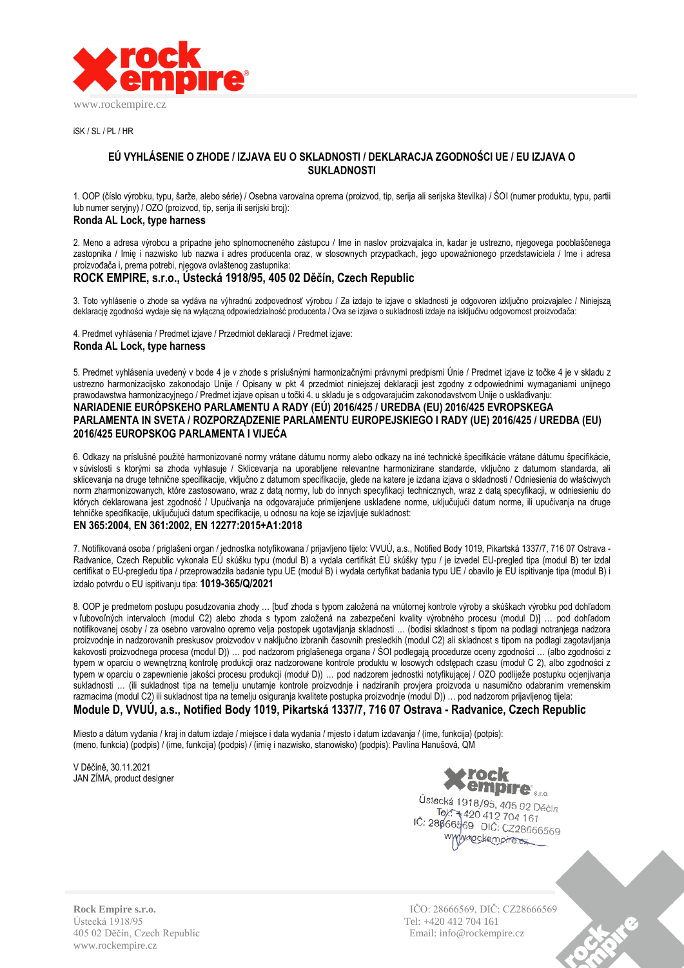

 $iSK / SI / PI / HR$ 

# **EÚ VYHLÁSENIE O ZHODE / IZJAVA EU O SKLADNOSTI / DEKLARACJA ZGODNOŚCI UE / EU IZJAVA O SUKLADNOSTI**

1. OOP (číslo výrobku, typu, šarže, alebo série) / Osebna varovalna oprema (proizvod, tip, serija ali serijska številka) / ŚOI (numer produktu, typu, partii lub numer seryjny) / OZO (proizvod, tip, serija ili serijski broj):

### **Ronda AL Lock, type harness**

2. Meno a adresa výrobcu a prípadne jeho splnomocneného zástupcu / Ime in naslov proizvajalca in, kadar je ustrezno, njegovega pooblaščenega zastopnika / Imię i nazwisko lub nazwa i adres producenta oraz, w stosownych przypadkach, jego upoważnionego przedstawiciela / Ime i adresa proizvođača i, prema potrebi, njegova ovlaštenog zastupnika:

# **ROCK EMPIRE, s.r.o., Ústecká 1918/95, 405 02 Děčín, Czech Republic**

3. Toto vyhlásenie o zhode sa vydáva na výhradnú zodpovednosť výrobcu / Za izdajo te izjave o skladnosti je odgovoren izključno proizvajalec / Niniejszą deklarację zgodności wydaje się na wyłączną odpowiedzialność producenta / Ova se izjava o sukladnosti izdaje na isključivu odgovornost proizvođača:

4. Predmet vyhlásenia / Predmet izjave / Przedmiot deklaracji / Predmet izjave: **Ronda AL Lock, type harness**

5. Predmet vyhlásenia uvedený v bode 4 je v zhode s príslušnými harmonizačnými právnymi predpismi Únie / Predmet izjave iz točke 4 je v skladu z ustrezno harmonizacijsko zakonodajo Unije / Opisany w pkt 4 przedmiot niniejszej deklaracji jest zgodny z odpowiednimi wymaganiami unijnego prawodawstwa harmonizacyjnego / Predmet izjave opisan u točki 4. u skladu je s odgovarajućim zakonodavstvom Unije o usklađivanju: **NARIADENIE EURÓPSKEHO PARLAMENTU A RADY (EÚ) 2016/425 / UREDBA (EU) 2016/425 EVROPSKEGA PARLAMENTA IN SVETA / ROZPORZĄDZENIE PARLAMENTU EUROPEJSKIEGO I RADY (UE) 2016/425 / UREDBA (EU) 2016/425 EUROPSKOG PARLAMENTA I VIJEĆA**

6. Odkazy na príslušné použité harmonizované normy vrátane dátumu normy alebo odkazy na iné technické špecifikácie vrátane dátumu špecifikácie, v súvislosti s ktorými sa zhoda vyhlasuje / Sklicevanja na uporabljene relevantne harmonizirane standarde, vključno z datumom standarda, ali sklicevanja na druge tehnične specifikacije, vključno z datumom specifikacije, glede na katere je izdana izjava o skladnosti / Odniesienia do właściwych norm zharmonizowanych, które zastosowano, wraz z datą normy, lub do innych specyfikacji technicznych, wraz z datą specyfikacji, w odniesieniu do których deklarowana jest zgodność / Upućivanja na odgovarajuće primijenjene usklađene norme, uključujući datum norme, ili upućivanja na druge tehničke specifikacije, uključujući datum specifikacije, u odnosu na koje se izjavljuje sukladnost:

# **EN 365:2004, EN 361:2002, EN 12277:2015+A1:2018**

7. Notifikovaná osoba / priglašeni organ / jednostka notyfikowana / prijavljeno tijelo: VVUÚ, a.s., Notified Body 1019, Pikartská 1337/7, 716 07 Ostrava - Radvanice, Czech Republic vykonala EÚ skúšku typu (modul B) a vydala certifikát EÚ skúšky typu / je izvedel EU-pregled tipa (modul B) ter izdal certifikat o EU-pregledu tipa / przeprowadziła badanie typu UE (moduł B) i wydała certyfikat badania typu UE / obavilo je EU ispitivanje tipa (modul B) i izdalo potvrdu o EU ispitivanju tipa: **1019-365/Q/2021**

8. OOP je predmetom postupu posudzovania zhody … [buď zhoda s typom založená na vnútornej kontrole výroby a skúškach výrobku pod dohľadom v ľubovoľných intervaloch (modul C2) alebo zhoda s typom založená na zabezpečení kvality výrobného procesu (modul D)] … pod dohľadom notifikovanej osoby / za osebno varovalno opremo velja postopek ugotavljanja skladnosti … (bodisi skladnost s tipom na podlagi notranjega nadzora proizvodnje in nadzorovanih preskusov proizvodov v naključno izbranih časovnih presledkih (modul C2) ali skladnost s tipom na podlagi zagotavljanja kakovosti proizvodnega procesa (modul D)) … pod nadzorom priglašenega organa / ŚOI podlegają procedurze oceny zgodności … (albo zgodności z typem w oparciu o wewnętrzną kontrolę produkcji oraz nadzorowane kontrole produktu w losowych odstępach czasu (moduł C 2), albo zgodności z typem w oparciu o zapewnienie jakości procesu produkcji (moduł D)) … pod nadzorem jednostki notyfikującej / OZO podliježe postupku ocjenjivanja sukladnosti … (ili sukladnost tipa na temelju unutarnje kontrole proizvodnje i nadziranih provjera proizvoda u nasumično odabranim vremenskim razmacima (modul C2) ili sukladnost tipa na temelju osiguranja kvalitete postupka proizvodnje (modul D)) … pod nadzorom prijavljenog tijela: **Module D, VVUÚ, a.s., Notified Body 1019, Pikartská 1337/7, 716 07 Ostrava - Radvanice, Czech Republic**

Miesto a dátum vydania / kraj in datum izdaje / miejsce i data wydania / mjesto i datum izdavanja / (ime, funkcija) (potpis): (meno, funkcia) (podpis) / (ime, funkcija) (podpis) / (imię i nazwisko, stanowisko) (podpis): Pavlína Hanušová, QM

V Děčíně, 30.11.2021 JAN ZÍMA, product designer



Ústecká 1918/95, 405 02 Děčín Scha 1916/95, 405 02 D<br>Tel: 1420 412 704 161<br>BREEBEO DIŠ IČ: 28666569 DIČ: CZ28666569 www.rockempire.ex

Ústecká 1918/95 Tel: +420 412 704 161 405 02 Děčín, Czech Republic Email: info@rockempire.cz www.rockempire.cz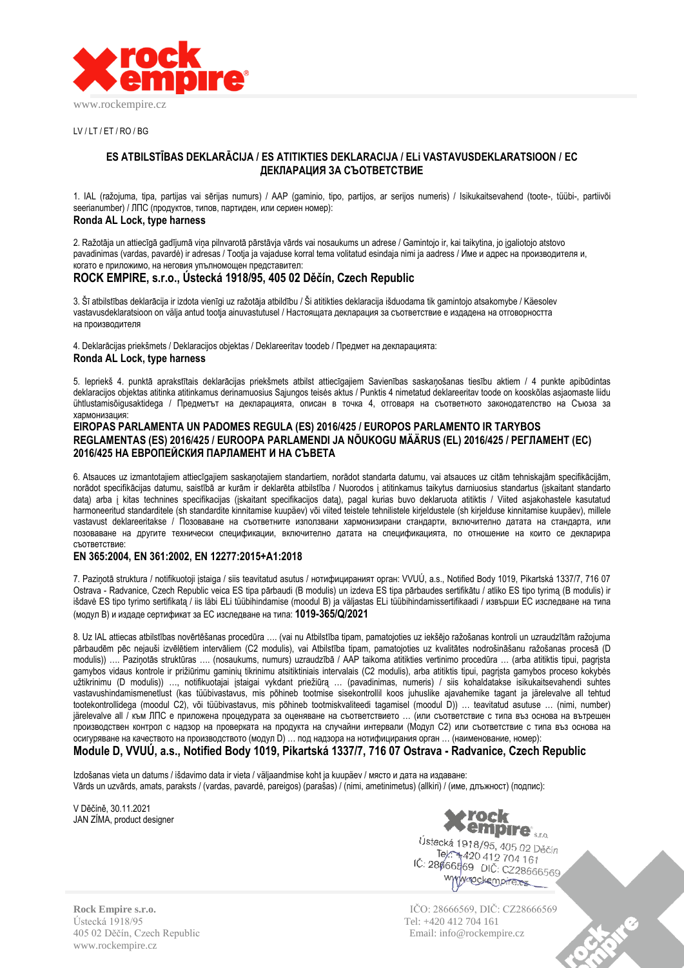

 $UV/IT/FT/RO/RG$ 

## **ES ATBILSTĪBAS DEKLARĀCIJA / ES ATITIKTIES DEKLARACIJA / ELi VASTAVUSDEKLARATSIOON / ЕС ДЕКЛАРАЦИЯ ЗА СЪОТВЕТСТВИЕ**

1. IAL (ražojuma, tipa, partijas vai sērijas numurs) / AAP (gaminio, tipo, partijos, ar serijos numeris) / Isikukaitsevahend (toote-, tüübi-, partiivõi seerianumber) / ЛПС (продуктов, типов, партиден, или сериен номер):

## **Ronda AL Lock, type harness**

2. Ražotāja un attiecīgā gadījumā viņa pilnvarotā pārstāvja vārds vai nosaukums un adrese / Gamintojo ir, kai taikytina, jo įgaliotojo atstovo pavadinimas (vardas, pavardė) ir adresas / Tootja ja vajaduse korral tema volitatud esindaja nimi ja aadress / Име и адрес на производителя и, когато е приложимо, на неговия упълномощен представител:

# **ROCK EMPIRE, s.r.o., Ústecká 1918/95, 405 02 Děčín, Czech Republic**

3. Šī atbilstības deklarācija ir izdota vienīgi uz ražotāja atbildību / Ši atitikties deklaracija išduodama tik gamintojo atsakomybe / Käesolev vastavusdeklaratsioon on välja antud tootja ainuvastutusel / Настоящата декларация за съответствие е издадена на отговорността на производителя

4. Deklarācijas priekšmets / Deklaracijos objektas / Deklareeritav toodeb / Предмет на декларацията:

#### **Ronda AL Lock, type harness**

5. Iepriekš 4. punktā aprakstītais deklarācijas priekšmets atbilst attiecīgajiem Savienības saskaņošanas tiesību aktiem / 4 punkte apibūdintas deklaracijos objektas atitinka atitinkamus derinamuosius Sąjungos teisės aktus / Punktis 4 nimetatud deklareeritav toode on kooskõlas asjaomaste liidu ühtlustamisõigusaktidega / Предметът на декларацията, описан в точка 4, отговаря на съответното законодателство на Съюза за хармонизация:

# **EIROPAS PARLAMENTA UN PADOMES REGULA (ES) 2016/425 / EUROPOS PARLAMENTO IR TARYBOS REGLAMENTAS (ES) 2016/425 / EUROOPA PARLAMENDI JA NÕUKOGU MÄÄRUS (EL) 2016/425 / РЕГЛАМЕНТ (ЕС) 2016/425 НА ЕВРОПЕЙСКИЯ ПАРЛАМЕНТ И НА СЪВЕТА**

6. Atsauces uz izmantotajiem attiecīgajiem saskaņotajiem standartiem, norādot standarta datumu, vai atsauces uz citām tehniskajām specifikācijām, norādot specifikācijas datumu, saistībā ar kurām ir deklarēta atbilstība / Nuorodos į atitinkamus taikytus darniuosius standartus (įskaitant standarto datą) arba į kitas technines specifikacijas (įskaitant specifikacijos datą), pagal kurias buvo deklaruota atitiktis / Viited asjakohastele kasutatud harmoneeritud standarditele (sh standardite kinnitamise kuupäev) või viited teistele tehnilistele kirjeldustele (sh kirjelduse kinnitamise kuupäev), millele vastavust deklareeritakse / Позоваване на съответните използвани хармонизирани стандарти, включително датата на стандарта, или позоваване на другите технически спецификации, включително датата на спецификацията, по отношение на които се декларира съответствие:

# **EN 365:2004, EN 361:2002, EN 12277:2015+A1:2018**

7. Paziņotā struktura / notifikuotoji įstaiga / siis teavitatud asutus / нотифицираният орган: VVUÚ, a.s., Notified Body 1019, Pikartská 1337/7, 716 07 Ostrava - Radvanice, Czech Republic veica ES tipa pārbaudi (B modulis) un izdeva ES tipa pārbaudes sertifikātu / atliko ES tipo tyrimą (B modulis) ir išdavė ES tipo tyrimo sertifikatą / iis läbi ELi tüübihindamise (moodul B) ja väljastas ELi tüübihindamissertifikaadi / извърши ЕС изследване на типа (модул B) и издаде сертификат за ЕС изследване на типа: **1019-365/Q/2021**

8. Uz IAL attiecas atbilstības novērtēšanas procedūra …. (vai nu Atbilstība tipam, pamatojoties uz iekšējo ražošanas kontroli un uzraudzītām ražojuma pārbaudēm pēc nejauši izvēlētiem intervāliem (C2 modulis), vai Atbilstība tipam, pamatojoties uz kvalitātes nodrošināšanu ražošanas procesā (D modulis)) …. Paziņotās struktūras …. (nosaukums, numurs) uzraudzībā / AAP taikoma atitikties vertinimo procedūra … (arba atitiktis tipui, pagrįsta gamybos vidaus kontrole ir prižiūrimu gaminių tikrinimu atsitiktiniais intervalais (C2 modulis), arba atitiktis tipui, pagrįsta gamybos proceso kokybės užtikrinimu (D modulis)) …, notifikuotajai įstaigai vykdant priežiūrą … (pavadinimas, numeris) / siis kohaldatakse isikukaitsevahendi suhtes vastavushindamismenetlust (kas tüübivastavus, mis põhineb tootmise sisekontrollil koos juhuslike ajavahemike tagant ja järelevalve all tehtud tootekontrollidega (moodul C2), või tüübivastavus, mis põhineb tootmiskvaliteedi tagamisel (moodul D)) … teavitatud asutuse … (nimi, number) järelevalve all / към ЛПС е приложена процедурата за оценяване на съответствието … (или съответствие с типа въз основа на вътрешен производствен контрол с надзор на проверката на продукта на случайни интервали (Модул C2) или съответствие с типа въз основа на осигуряване на качеството на производството (модул D) … под надзора на нотифицирания орган … (наименование, номер):

# **Module D, VVUÚ, a.s., Notified Body 1019, Pikartská 1337/7, 716 07 Ostrava - Radvanice, Czech Republic**

Izdošanas vieta un datums / išdavimo data ir vieta / väljaandmise koht ja kuupäev / място и дата на издаване: Vārds un uzvārds, amats, paraksts / (vardas, pavardė, pareigos) (parašas) / (nimi, ametinimetus) (allkiri) / (име, длъжност) (подпис):

V Děčíně, 30.11.2021 JAN ZÍMA, product designer



Ústecká 1918/95, 405 02 Děčín Tel: +316/95, 405 02 D.<br>Tel: +420 412 704 161 IČ: 28666569 DIČ: CZ28666569 www.rockempire.ex

**Rock Empire s.r.o.** IČO: 28666569, DIČ: CZ28666569 405 02 Děčín, Czech Republic Email: info@rockempire.cz

Ústecká 1918/95 Tel: +420 412 704 161 www.rockempire.cz